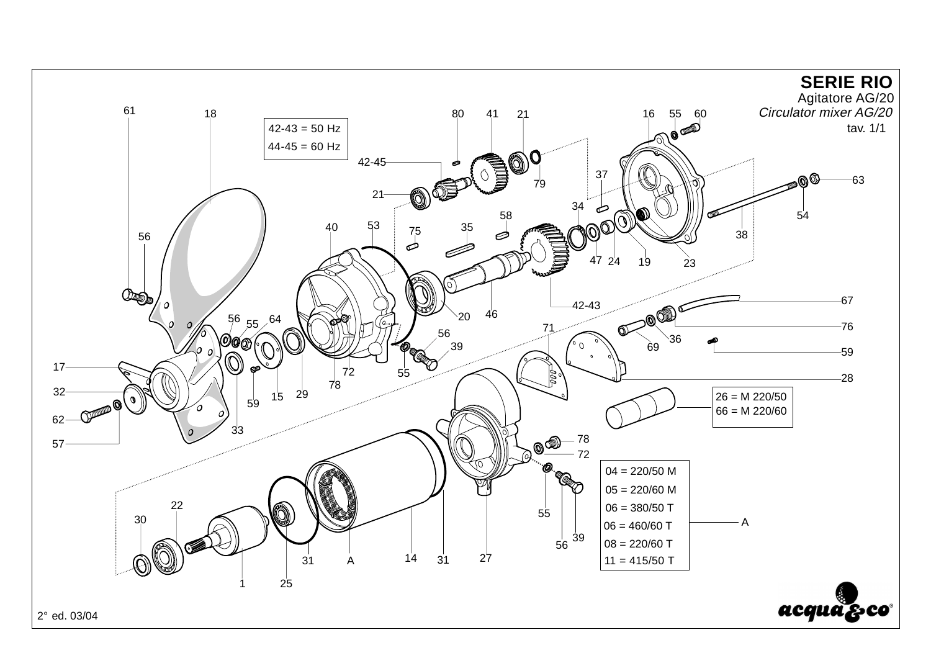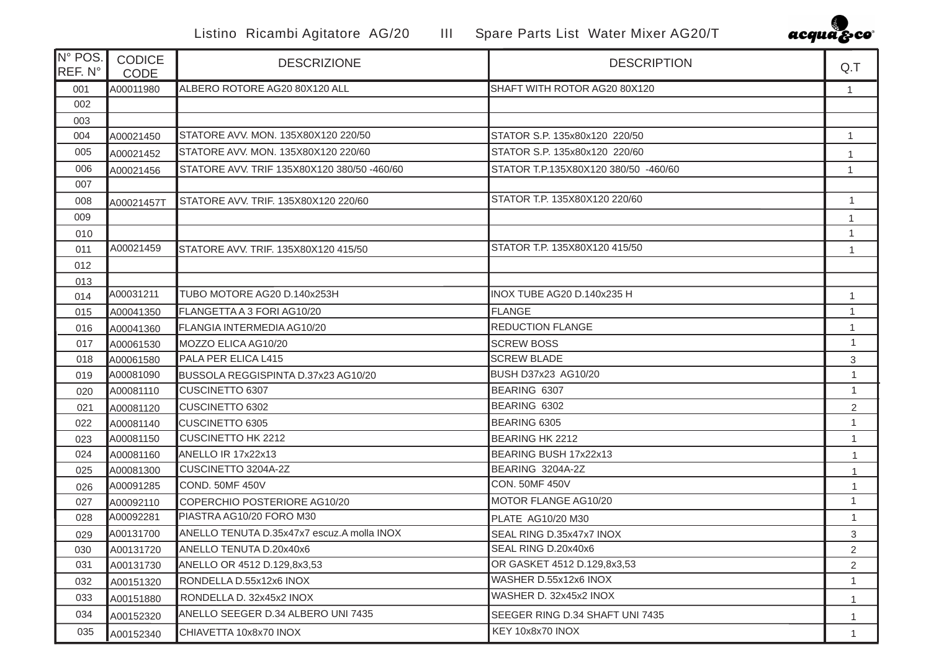Listino Ricambi Agitatore AG/20 III Spare Parts List Water Mixer AG20/T



| IN° POS.<br>REF. N° | <b>CODICE</b><br><b>CODE</b> | <b>DESCRIZIONE</b>                          | <b>DESCRIPTION</b>                   | Q.T            |
|---------------------|------------------------------|---------------------------------------------|--------------------------------------|----------------|
| 001                 | A00011980                    | ALBERO ROTORE AG20 80X120 ALL               | SHAFT WITH ROTOR AG20 80X120         | $\mathbf{1}$   |
| 002                 |                              |                                             |                                      |                |
| 003                 |                              |                                             |                                      |                |
| 004                 | A00021450                    | STATORE AVV, MON, 135X80X120 220/50         | STATOR S.P. 135x80x120 220/50        | $\mathbf{1}$   |
| 005                 | A00021452                    | STATORE AVV. MON. 135X80X120 220/60         | STATOR S.P. 135x80x120 220/60        | 1              |
| 006                 | A00021456                    | STATORE AVV. TRIF 135X80X120 380/50 -460/60 | STATOR T.P.135X80X120 380/50 -460/60 | 1              |
| 007                 |                              |                                             |                                      |                |
| 008                 | A00021457T                   | STATORE AVV. TRIF. 135X80X120 220/60        | STATOR T.P. 135X80X120 220/60        | $\mathbf{1}$   |
| 009                 |                              |                                             |                                      | 1              |
| 010                 |                              |                                             |                                      | $\mathbf{1}$   |
| 011                 | A00021459                    | STATORE AVV. TRIF. 135X80X120 415/50        | STATOR T.P. 135X80X120 415/50        | $\mathbf{1}$   |
| 012                 |                              |                                             |                                      |                |
| 013                 |                              |                                             |                                      |                |
| 014                 | A00031211                    | TUBO MOTORE AG20 D.140x253H                 | INOX TUBE AG20 D.140x235 H           | 1              |
| 015                 | A00041350                    | FLANGETTA A 3 FORI AG10/20                  | <b>FLANGE</b>                        | $\mathbf{1}$   |
| 016                 | A00041360                    | FLANGIA INTERMEDIA AG10/20                  | <b>REDUCTION FLANGE</b>              | 1              |
| 017                 | A00061530                    | MOZZO ELICA AG10/20                         | <b>SCREW BOSS</b>                    | $\mathbf{1}$   |
| 018                 | A00061580                    | PALA PER ELICA L415                         | <b>SCREW BLADE</b>                   | 3              |
| 019                 | A00081090                    | BUSSOLA REGGISPINTA D.37x23 AG10/20         | <b>BUSH D37x23 AG10/20</b>           | $\mathbf{1}$   |
| 020                 | A00081110                    | CUSCINETTO 6307                             | BEARING 6307                         | $\mathbf{1}$   |
| 021                 | A00081120                    | CUSCINETTO 6302                             | BEARING 6302                         | $\overline{2}$ |
| 022                 | A00081140                    | <b>CUSCINETTO 6305</b>                      | BEARING 6305                         | $\mathbf{1}$   |
| 023                 | A00081150                    | <b>CUSCINETTO HK 2212</b>                   | <b>BEARING HK 2212</b>               | $\mathbf{1}$   |
| 024                 | A00081160                    | ANELLO IR 17x22x13                          | BEARING BUSH 17x22x13                | $\mathbf{1}$   |
| 025                 | A00081300                    | CUSCINETTO 3204A-2Z                         | BEARING 3204A-2Z                     | $\mathbf{1}$   |
| 026                 | A00091285                    | COND. 50MF 450V                             | <b>CON. 50MF 450V</b>                | $\mathbf{1}$   |
| 027                 | A00092110                    | COPERCHIO POSTERIORE AG10/20                | MOTOR FLANGE AG10/20                 | $\mathbf{1}$   |
| 028                 | A00092281                    | PIASTRA AG10/20 FORO M30                    | PLATE AG10/20 M30                    | $\mathbf{1}$   |
| 029                 | A00131700                    | ANELLO TENUTA D.35x47x7 escuz.A molla INOX  | SEAL RING D.35x47x7 INOX             | 3              |
| 030                 | A00131720                    | ANELLO TENUTA D.20x40x6                     | SEAL RING D.20x40x6                  | 2              |
| 031                 | A00131730                    | ANELLO OR 4512 D.129,8x3,53                 | OR GASKET 4512 D.129,8x3,53          | $\overline{2}$ |
| 032                 | A00151320                    | RONDELLA D.55x12x6 INOX                     | WASHER D.55x12x6 INOX                | $\mathbf{1}$   |
| 033                 | A00151880                    | RONDELLA D. 32x45x2 INOX                    | WASHER D. 32x45x2 INOX               | $\mathbf{1}$   |
| 034                 | A00152320                    | ANELLO SEEGER D.34 ALBERO UNI 7435          | SEEGER RING D.34 SHAFT UNI 7435      | $\mathbf{1}$   |
| 035                 | A00152340                    | CHIAVETTA 10x8x70 INOX                      | KEY 10x8x70 INOX                     | 1              |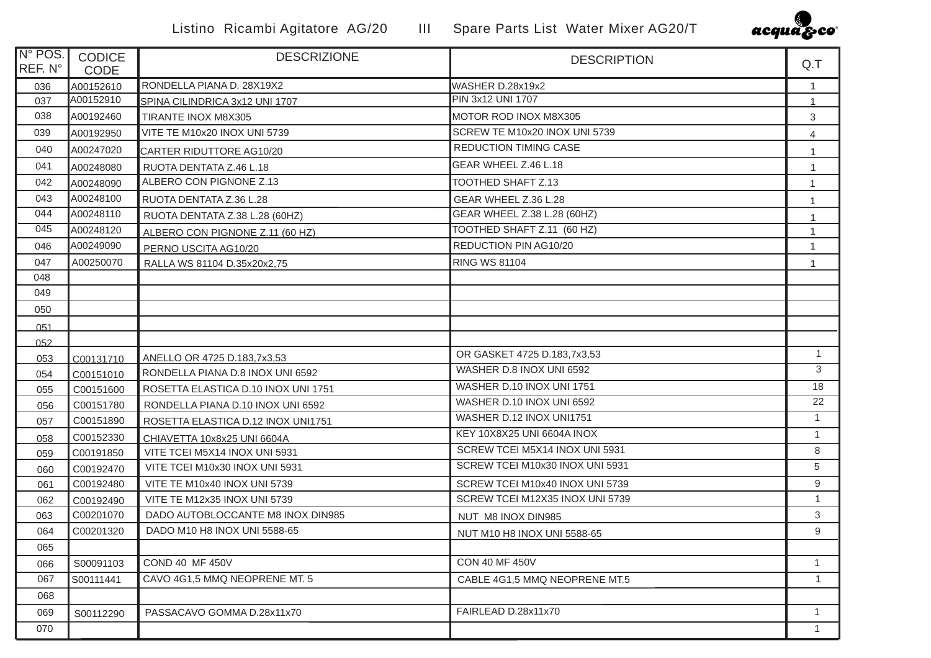

| N° POS.<br>REF. N° | <b>CODICE</b><br><b>CODE</b> | <b>DESCRIZIONE</b>                  | <b>DESCRIPTION</b>              | Q.T            |
|--------------------|------------------------------|-------------------------------------|---------------------------------|----------------|
| 036                | A00152610                    | RONDELLA PIANA D. 28X19X2           | WASHER D.28x19x2                | $\mathbf{1}$   |
| 037                | A00152910                    | SPINA CILINDRICA 3x12 UNI 1707      | PIN 3x12 UNI 1707               | $\mathbf{1}$   |
| 038                | A00192460                    | TIRANTE INOX M8X305                 | MOTOR ROD INOX M8X305           | 3              |
| 039                | A00192950                    | VITE TE M10x20 INOX UNI 5739        | SCREW TE M10x20 INOX UNI 5739   | $\overline{4}$ |
| 040                | A00247020                    | CARTER RIDUTTORE AG10/20            | <b>REDUCTION TIMING CASE</b>    | $\mathbf{1}$   |
| 041                | A00248080                    | RUOTA DENTATA Z.46 L.18             | GEAR WHEEL Z.46 L.18            | $\mathbf{1}$   |
| 042                | A00248090                    | ALBERO CON PIGNONE Z.13             | <b>TOOTHED SHAFT Z.13</b>       | $\mathbf{1}$   |
| 043                | A00248100                    | RUOTA DENTATA Z.36 L.28             | GEAR WHEEL Z.36 L.28            |                |
| 044                | A00248110                    | RUOTA DENTATA Z.38 L.28 (60HZ)      | GEAR WHEEL Z.38 L.28 (60HZ)     | $\mathbf{1}$   |
| 045                | A00248120                    | ALBERO CON PIGNONE Z.11 (60 HZ)     | TOOTHED SHAFT Z.11 (60 HZ)      | $\mathbf{1}$   |
| 046                | A00249090                    | PERNO USCITA AG10/20                | REDUCTION PIN AG10/20           | $\mathbf{1}$   |
| 047                | A00250070                    | RALLA WS 81104 D.35x20x2,75         | <b>RING WS 81104</b>            | $\mathbf{1}$   |
| 048                |                              |                                     |                                 |                |
| 049                |                              |                                     |                                 |                |
| 050                |                              |                                     |                                 |                |
| 051                |                              |                                     |                                 |                |
| 052                |                              |                                     |                                 |                |
| 053                | C00131710                    | ANELLO OR 4725 D.183,7x3,53         | OR GASKET 4725 D.183,7x3,53     | $\mathbf{1}$   |
| 054                | C00151010                    | RONDELLA PIANA D.8 INOX UNI 6592    | WASHER D.8 INOX UNI 6592        | 3              |
| 055                | C00151600                    | ROSETTA ELASTICA D.10 INOX UNI 1751 | WASHER D.10 INOX UNI 1751       | 18             |
| 056                | C00151780                    | RONDELLA PIANA D.10 INOX UNI 6592   | WASHER D.10 INOX UNI 6592       | 22             |
| 057                | C00151890                    | ROSETTA ELASTICA D.12 INOX UNI1751  | WASHER D.12 INOX UNI1751        | $\mathbf{1}$   |
| 058                | C00152330                    | CHIAVETTA 10x8x25 UNI 6604A         | KEY 10X8X25 UNI 6604A INOX      | $\mathbf{1}$   |
| 059                | C00191850                    | VITE TCEI M5X14 INOX UNI 5931       | SCREW TCEI M5X14 INOX UNI 5931  | 8              |
| 060                | C00192470                    | VITE TCEI M10x30 INOX UNI 5931      | SCREW TCEI M10x30 INOX UNI 5931 | 5              |
| 061                | C00192480                    | VITE TE M10x40 INOX UNI 5739        | SCREW TCEI M10x40 INOX UNI 5739 | $9\,$          |
| 062                | C00192490                    | VITE TE M12x35 INOX UNI 5739        | SCREW TCEI M12X35 INOX UNI 5739 | $\mathbf{1}$   |
| 063                | C00201070                    | DADO AUTOBLOCCANTE M8 INOX DIN985   | NUT M8 INOX DIN985              | 3              |
| 064                | C00201320                    | DADO M10 H8 INOX UNI 5588-65        | NUT M10 H8 INOX UNI 5588-65     | 9              |
| 065                |                              |                                     |                                 |                |
| 066                | S00091103                    | <b>COND 40 MF 450V</b>              | <b>CON 40 MF 450V</b>           | $\mathbf{1}$   |
| 067                | S00111441                    | CAVO 4G1,5 MMQ NEOPRENE MT. 5       | CABLE 4G1,5 MMQ NEOPRENE MT.5   | $\mathbf{1}$   |
| 068                |                              |                                     |                                 |                |
| 069                | S00112290                    | PASSACAVO GOMMA D.28x11x70          | FAIRLEAD D.28x11x70             | $\mathbf{1}$   |
| 070                |                              |                                     |                                 | $\mathbf{1}$   |